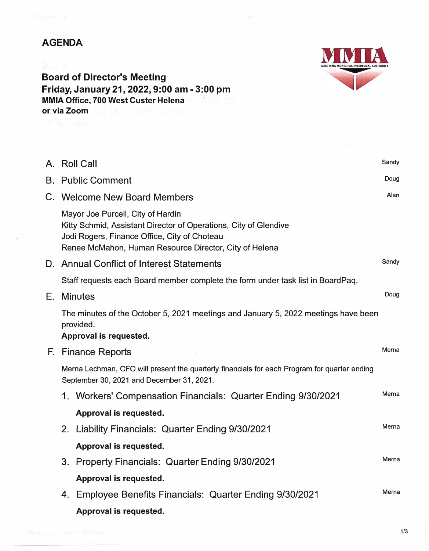## **AGENDA**



**Board of Director's Meeting Friday, January 21, 2022, 9:00 am - 3:00 pm MMIA Office, 700 West Custer Helena or via Zoom** 

|    | A. Roll Call                                                                                                                                                                                                    | Sandy |
|----|-----------------------------------------------------------------------------------------------------------------------------------------------------------------------------------------------------------------|-------|
|    | <b>B.</b> Public Comment                                                                                                                                                                                        |       |
| C. | <b>Welcome New Board Members</b>                                                                                                                                                                                | Alan  |
|    | Mayor Joe Purcell, City of Hardin<br>Kitty Schmid, Assistant Director of Operations, City of Glendive<br>Jodi Rogers, Finance Office, City of Choteau<br>Renee McMahon, Human Resource Director, City of Helena |       |
|    | D. Annual Conflict of Interest Statements                                                                                                                                                                       | Sandy |
|    | Staff requests each Board member complete the form under task list in BoardPaq.                                                                                                                                 |       |
| Е. | <b>Minutes</b>                                                                                                                                                                                                  | Doug  |
|    | The minutes of the October 5, 2021 meetings and January 5, 2022 meetings have been<br>provided.<br>Approval is requested.                                                                                       |       |
|    | F. Finance Reports                                                                                                                                                                                              | Merna |
|    | Merna Lechman, CFO will present the quarterly financials for each Program for quarter ending<br>September 30, 2021 and December 31, 2021.                                                                       |       |
|    | 1. Workers' Compensation Financials: Quarter Ending 9/30/2021                                                                                                                                                   | Merna |
|    | Approval is requested.                                                                                                                                                                                          |       |
|    | 2. Liability Financials: Quarter Ending 9/30/2021                                                                                                                                                               | Merna |
|    | Approval is requested.                                                                                                                                                                                          |       |
|    | 3. Property Financials: Quarter Ending 9/30/2021                                                                                                                                                                | Merna |
|    | Approval is requested.                                                                                                                                                                                          |       |
|    | 4. Employee Benefits Financials: Quarter Ending 9/30/2021                                                                                                                                                       | Merna |
|    | Approval is requested.                                                                                                                                                                                          |       |

**1/3**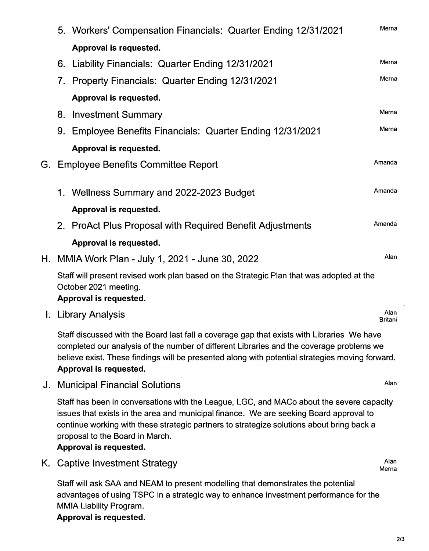|    | 5. Workers' Compensation Financials: Quarter Ending 12/31/2021                                                                              |                                                            |                        |  |  |
|----|---------------------------------------------------------------------------------------------------------------------------------------------|------------------------------------------------------------|------------------------|--|--|
|    |                                                                                                                                             | Approval is requested.                                     |                        |  |  |
|    |                                                                                                                                             | 6. Liability Financials: Quarter Ending 12/31/2021         | Merna                  |  |  |
|    |                                                                                                                                             | 7. Property Financials: Quarter Ending 12/31/2021          | Merna                  |  |  |
|    |                                                                                                                                             | Approval is requested.                                     |                        |  |  |
|    | 8.                                                                                                                                          | <b>Investment Summary</b>                                  | Merna                  |  |  |
|    |                                                                                                                                             | 9. Employee Benefits Financials: Quarter Ending 12/31/2021 | Merna                  |  |  |
|    |                                                                                                                                             | Approval is requested.                                     |                        |  |  |
|    | Amanda<br>G. Employee Benefits Committee Report                                                                                             |                                                            |                        |  |  |
|    |                                                                                                                                             | 1. Wellness Summary and 2022-2023 Budget                   | Amanda                 |  |  |
|    |                                                                                                                                             | Approval is requested.                                     |                        |  |  |
|    |                                                                                                                                             | 2. ProAct Plus Proposal with Required Benefit Adjustments  | Amanda                 |  |  |
|    |                                                                                                                                             | Approval is requested.                                     |                        |  |  |
|    |                                                                                                                                             | Alan<br>H. MMIA Work Plan - July 1, 2021 - June 30, 2022   |                        |  |  |
|    | Staff will present revised work plan based on the Strategic Plan that was adopted at the<br>October 2021 meeting.<br>Approval is requested. |                                                            |                        |  |  |
| L. |                                                                                                                                             | <b>Library Analysis</b>                                    | Alan<br><b>Britani</b> |  |  |

Staff discussed with the Board last fall a coverage gap that exists with Libraries We have completed our analysis of the number of different Libraries and the coverage problems we believe exist. These findings will be presented along with potential strategies moving forward. **Approval is requested.** 

J. Municipal Financial Solutions Alan

 $\alpha$  , and  $\alpha$  , and  $\alpha$ 

Staff has been in conversations with the League, LGC, and MACo about the severe capacity issues that exists in the area and municipal finance. We are seeking Board approval to continue working with these strategic partners to strategize solutions about bring back a proposal to the Board in March.

**Approval is requested.**

K. Captive Investment Strategy

Staff will ask SAA and NEAM to present modelling that demonstrates the potential advantages of using TSPC in a strategic way to enhance investment performance for the MMIA Liability Program.

## **Approval is requested.**

Alan Merna